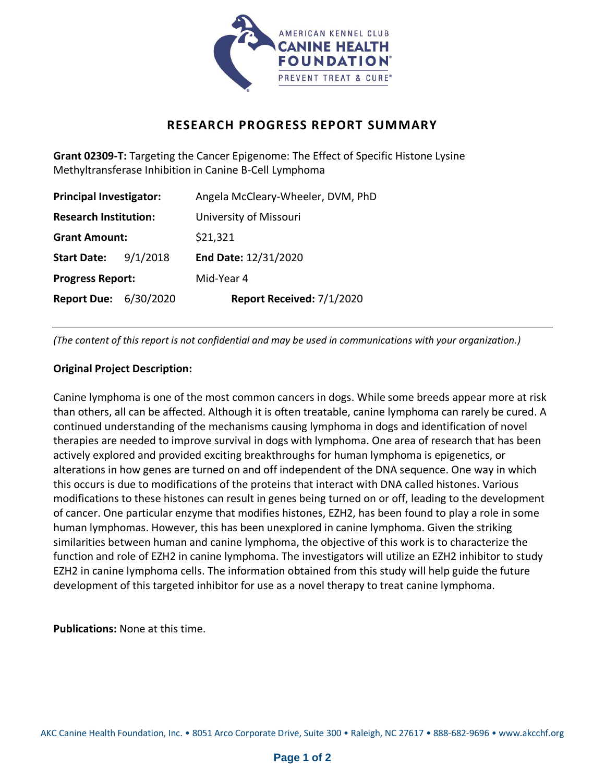

## **RESEARCH PROGRESS REPORT SUMMARY**

**Grant 02309-T:** Targeting the Cancer Epigenome: The Effect of Specific Histone Lysine Methyltransferase Inhibition in Canine B-Cell Lymphoma

| <b>Principal Investigator:</b> |          | Angela McCleary-Wheeler, DVM, PhD |
|--------------------------------|----------|-----------------------------------|
| <b>Research Institution:</b>   |          | University of Missouri            |
| <b>Grant Amount:</b>           |          | \$21,321                          |
| <b>Start Date:</b>             | 9/1/2018 | End Date: 12/31/2020              |
| <b>Progress Report:</b>        |          | Mid-Year 4                        |
| <b>Report Due: 6/30/2020</b>   |          | Report Received: 7/1/2020         |

*(The content of this report is not confidential and may be used in communications with your organization.)*

## **Original Project Description:**

Canine lymphoma is one of the most common cancers in dogs. While some breeds appear more at risk than others, all can be affected. Although it is often treatable, canine lymphoma can rarely be cured. A continued understanding of the mechanisms causing lymphoma in dogs and identification of novel therapies are needed to improve survival in dogs with lymphoma. One area of research that has been actively explored and provided exciting breakthroughs for human lymphoma is epigenetics, or alterations in how genes are turned on and off independent of the DNA sequence. One way in which this occurs is due to modifications of the proteins that interact with DNA called histones. Various modifications to these histones can result in genes being turned on or off, leading to the development of cancer. One particular enzyme that modifies histones, EZH2, has been found to play a role in some human lymphomas. However, this has been unexplored in canine lymphoma. Given the striking similarities between human and canine lymphoma, the objective of this work is to characterize the function and role of EZH2 in canine lymphoma. The investigators will utilize an EZH2 inhibitor to study EZH2 in canine lymphoma cells. The information obtained from this study will help guide the future development of this targeted inhibitor for use as a novel therapy to treat canine lymphoma.

**Publications:** None at this time.